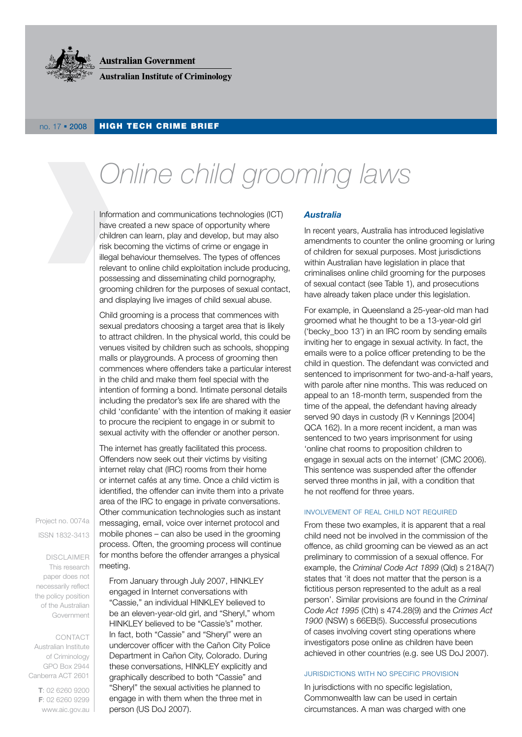

**Australian Government** 

**Australian Institute of Criminology** 

### no. 17 . 2008 HIGH TECH CRIME BRIEF

# *Online child grooming laws*

Information and communications technologies (IcT) have created a new space of opportunity where children can learn, play and develop, but may also risk becoming the victims of crime or engage in illegal behaviour themselves. The types of offences relevant to online child exploitation include producing, possessing and disseminating child pornography, grooming children for the purposes of sexual contact, and displaying live images of child sexual abuse.

child grooming is a process that commences with sexual predators choosing a target area that is likely to attract children. In the physical world, this could be venues visited by children such as schools, shopping malls or playgrounds. A process of grooming then commences where offenders take a particular interest in the child and make them feel special with the intention of forming a bond. Intimate personal details including the predator's sex life are shared with the child 'confidante' with the intention of making it easier to procure the recipient to engage in or submit to sexual activity with the offender or another person.

The internet has greatly facilitated this process. offenders now seek out their victims by visiting internet relay chat (IRC) rooms from their home or internet cafés at any time. Once a child victim is identified, the offender can invite them into a private area of the IRC to engage in private conversations. other communication technologies such as instant messaging, email, voice over internet protocol and mobile phones – can also be used in the grooming process. often, the grooming process will continue for months before the offender arranges a physical meeting.

Project no. 0074a

ISSN 1832-3413

**DISCLAIMER** This research paper does not necessarily reflect the policy position of the Australian Government

coNTacT

australian Institute of criminology GPo Box 2944 canberra acT 2601

> **T**: 02 6260 9200 **F**: 02 6260 9299 www.aic.gov.au

From January through July 2007, HINKleY engaged in Internet conversations with "cassie," an individual HINKleY believed to be an eleven-year-old girl, and "Sheryl," whom HINKLEY believed to be "Cassie's" mother. In fact, both "Cassie" and "Sheryl" were an undercover officer with the cañon city Police Department in Cañon City, Colorado. During these conversations, HINKLEY explicitly and graphically described to both "cassie" and "Sheryl" the sexual activities he planned to engage in with them when the three met in person (US DoJ 2007).

### *Australia*

In recent years, Australia has introduced legislative amendments to counter the online grooming or luring of children for sexual purposes. most jurisdictions within Australian have legislation in place that criminalises online child grooming for the purposes of sexual contact (see Table 1), and prosecutions have already taken place under this legislation.

For example, in Queensland a 25-year-old man had groomed what he thought to be a 13-year-old girl ('becky boo 13') in an IRC room by sending emails inviting her to engage in sexual activity. In fact, the emails were to a police officer pretending to be the child in question. The defendant was convicted and sentenced to imprisonment for two-and-a-half years, with parole after nine months. This was reduced on appeal to an 18-month term, suspended from the time of the appeal, the defendant having already served 90 days in custody (R v Kennings [2004] Qca 162). In a more recent incident, a man was sentenced to two years imprisonment for using 'online chat rooms to proposition children to engage in sexual acts on the internet' (CMC 2006). This sentence was suspended after the offender served three months in jail, with a condition that he not reoffend for three years.

#### INVOLVEMENT OF REAL CHILD NOT REQUIRED

From these two examples, it is apparent that a real child need not be involved in the commission of the offence, as child grooming can be viewed as an act preliminary to commission of a sexual offence. For example, the *Criminal Code Act 1899* (Qld) s 218A(7) states that 'it does not matter that the person is a fictitious person represented to the adult as a real person'. Similar provisions are found in the *Criminal Code Act 1995* (cth) s 474.28(9) and the *Crimes Act*  1900 (NSW) s 66EB(5). Successful prosecutions of cases involving covert sting operations where investigators pose online as children have been achieved in other countries (e.g. see US DoJ 2007).

#### JUrISDIcTIoNS WITH No SPecIFIc ProVISIoN

In jurisdictions with no specific legislation, commonwealth law can be used in certain circumstances. A man was charged with one